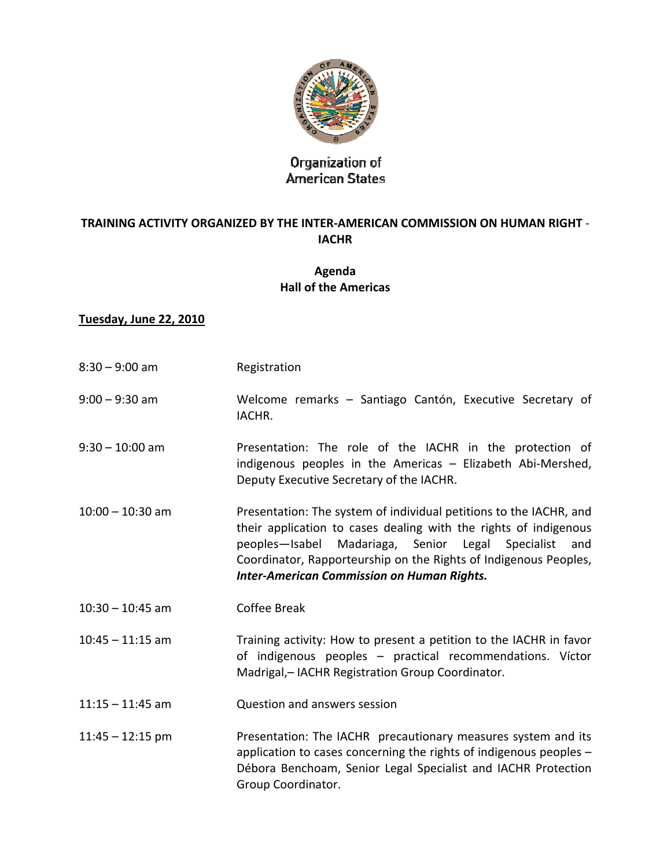

# Organization of<br>American States

#### **TRAINING ACTIVITY ORGANIZED BY THE INTER‐AMERICAN COMMISSION ON HUMAN RIGHT** ‐ **IACHR**

### **Agenda Hall of the Americas**

#### **Tuesday, June 22, 2010**

| $8:30 - 9:00$ am   | Registration                                                                                                                                                                                                                                                                                                                   |
|--------------------|--------------------------------------------------------------------------------------------------------------------------------------------------------------------------------------------------------------------------------------------------------------------------------------------------------------------------------|
| $9:00 - 9:30$ am   | Welcome remarks - Santiago Cantón, Executive Secretary of<br>IACHR.                                                                                                                                                                                                                                                            |
| $9:30 - 10:00$ am  | Presentation: The role of the IACHR in the protection of<br>indigenous peoples in the Americas - Elizabeth Abi-Mershed,<br>Deputy Executive Secretary of the IACHR.                                                                                                                                                            |
| $10:00 - 10:30$ am | Presentation: The system of individual petitions to the IACHR, and<br>their application to cases dealing with the rights of indigenous<br>Madariaga, Senior Legal Specialist<br>peoples-Isabel<br>and<br>Coordinator, Rapporteurship on the Rights of Indigenous Peoples,<br><b>Inter-American Commission on Human Rights.</b> |
| $10:30 - 10:45$ am | Coffee Break                                                                                                                                                                                                                                                                                                                   |
| $10:45 - 11:15$ am | Training activity: How to present a petition to the IACHR in favor<br>of indigenous peoples - practical recommendations. Víctor<br>Madrigal,- IACHR Registration Group Coordinator.                                                                                                                                            |
| $11:15 - 11:45$ am | Question and answers session                                                                                                                                                                                                                                                                                                   |
| $11:45 - 12:15$ pm | Presentation: The IACHR precautionary measures system and its<br>application to cases concerning the rights of indigenous peoples -<br>Débora Benchoam, Senior Legal Specialist and IACHR Protection<br>Group Coordinator.                                                                                                     |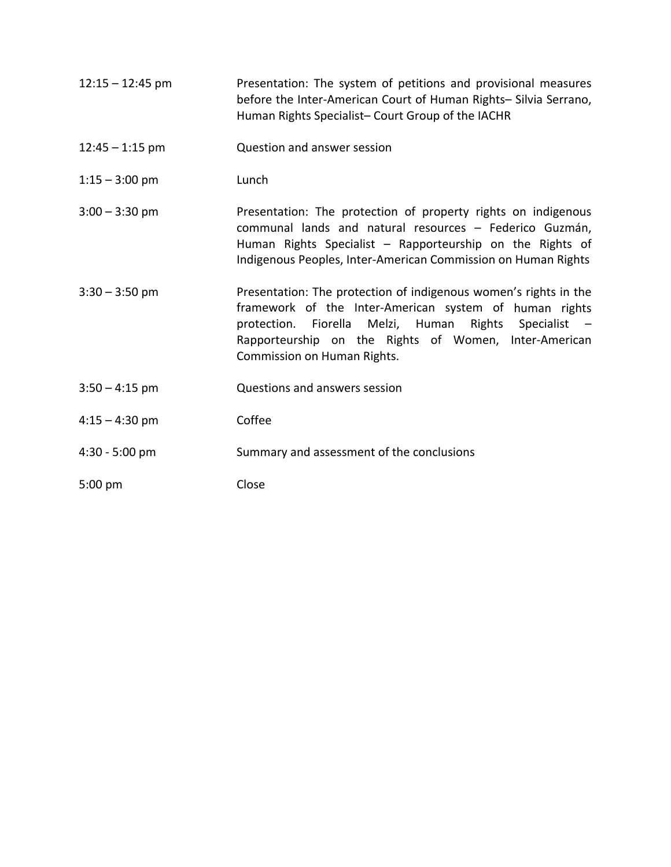| $12:15 - 12:45$ pm | Presentation: The system of petitions and provisional measures<br>before the Inter-American Court of Human Rights- Silvia Serrano,<br>Human Rights Specialist- Court Group of the IACHR                                                                                     |
|--------------------|-----------------------------------------------------------------------------------------------------------------------------------------------------------------------------------------------------------------------------------------------------------------------------|
| $12:45 - 1:15$ pm  | Question and answer session                                                                                                                                                                                                                                                 |
| $1:15 - 3:00$ pm   | Lunch                                                                                                                                                                                                                                                                       |
| $3:00 - 3:30$ pm   | Presentation: The protection of property rights on indigenous<br>communal lands and natural resources - Federico Guzmán,<br>Human Rights Specialist - Rapporteurship on the Rights of<br>Indigenous Peoples, Inter-American Commission on Human Rights                      |
| $3:30 - 3:50$ pm   | Presentation: The protection of indigenous women's rights in the<br>framework of the Inter-American system of human rights<br>protection. Fiorella Melzi, Human Rights Specialist -<br>Rapporteurship on the Rights of Women, Inter-American<br>Commission on Human Rights. |
| $3:50 - 4:15$ pm   | Questions and answers session                                                                                                                                                                                                                                               |
| $4:15 - 4:30$ pm   | Coffee                                                                                                                                                                                                                                                                      |
| $4:30 - 5:00$ pm   | Summary and assessment of the conclusions                                                                                                                                                                                                                                   |
| $5:00$ pm          | Close                                                                                                                                                                                                                                                                       |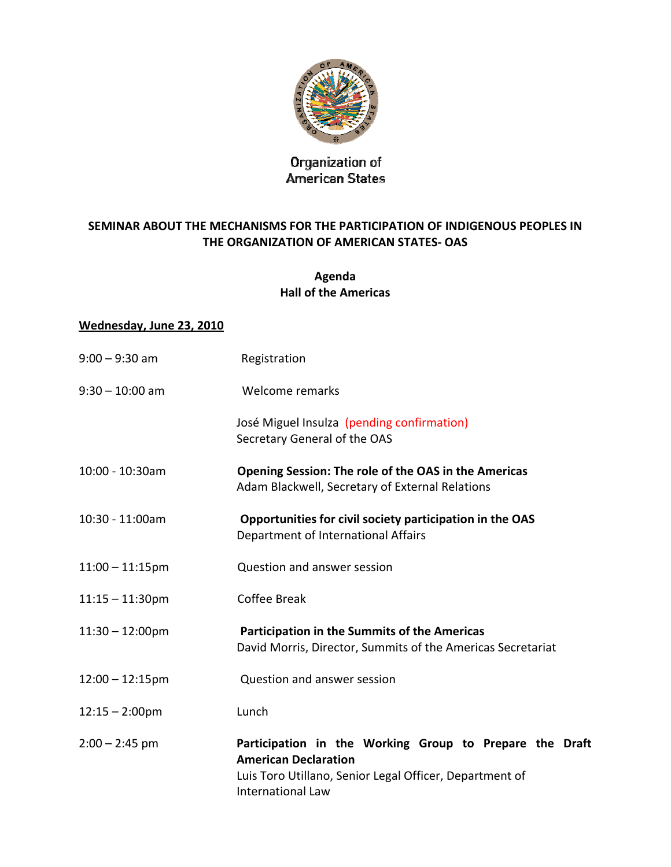

# Organization of<br>American States

#### **SEMINAR ABOUT THE MECHANISMS FOR THE PARTICIPATION OF INDIGENOUS PEOPLES IN THE ORGANIZATION OF AMERICAN STATES‐ OAS**

#### **Agenda Hall of the Americas**

#### **Wednesday, June 23, 2010**

| $9:00 - 9:30$ am          | Registration                                                                                                                                                                  |
|---------------------------|-------------------------------------------------------------------------------------------------------------------------------------------------------------------------------|
| $9:30 - 10:00$ am         | Welcome remarks                                                                                                                                                               |
|                           | José Miguel Insulza (pending confirmation)<br>Secretary General of the OAS                                                                                                    |
| 10:00 - 10:30am           | Opening Session: The role of the OAS in the Americas<br>Adam Blackwell, Secretary of External Relations                                                                       |
| 10:30 - 11:00am           | Opportunities for civil society participation in the OAS<br>Department of International Affairs                                                                               |
| $11:00 - 11:15$ pm        | Question and answer session                                                                                                                                                   |
| $11:15 - 11:30$ pm        | Coffee Break                                                                                                                                                                  |
| $11:30 - 12:00 \text{pm}$ | <b>Participation in the Summits of the Americas</b><br>David Morris, Director, Summits of the Americas Secretariat                                                            |
| $12:00 - 12:15$ pm        | Question and answer session                                                                                                                                                   |
| $12:15 - 2:00$ pm         | Lunch                                                                                                                                                                         |
| $2:00 - 2:45$ pm          | Participation in the Working Group to Prepare the Draft<br><b>American Declaration</b><br>Luis Toro Utillano, Senior Legal Officer, Department of<br><b>International Law</b> |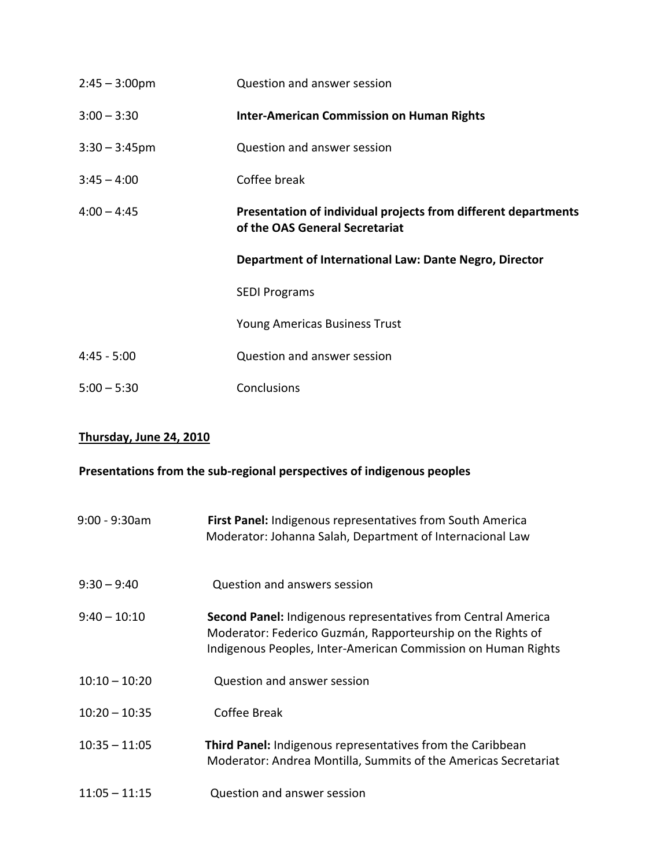| $2:45 - 3:00 \text{pm}$ | Question and answer session                                                                      |
|-------------------------|--------------------------------------------------------------------------------------------------|
| $3:00 - 3:30$           | <b>Inter-American Commission on Human Rights</b>                                                 |
| $3:30 - 3:45$ pm        | Question and answer session                                                                      |
| $3:45 - 4:00$           | Coffee break                                                                                     |
| $4:00 - 4:45$           | Presentation of individual projects from different departments<br>of the OAS General Secretariat |
|                         | Department of International Law: Dante Negro, Director                                           |
|                         | <b>SEDI Programs</b>                                                                             |
|                         | <b>Young Americas Business Trust</b>                                                             |
|                         |                                                                                                  |
| $4:45 - 5:00$           | Question and answer session                                                                      |

## **Thursday, June 24, 2010**

## **Presentations from the sub‐regional perspectives of indigenous peoples**

| $9:00 - 9:30$ am | <b>First Panel:</b> Indigenous representatives from South America<br>Moderator: Johanna Salah, Department of Internacional Law                                                                       |
|------------------|------------------------------------------------------------------------------------------------------------------------------------------------------------------------------------------------------|
| $9:30 - 9:40$    | <b>Question and answers session</b>                                                                                                                                                                  |
| $9:40 - 10:10$   | <b>Second Panel:</b> Indigenous representatives from Central America<br>Moderator: Federico Guzmán, Rapporteurship on the Rights of<br>Indigenous Peoples, Inter-American Commission on Human Rights |
| $10:10 - 10:20$  | Question and answer session                                                                                                                                                                          |
| $10:20 - 10:35$  | Coffee Break                                                                                                                                                                                         |
| $10:35 - 11:05$  | <b>Third Panel:</b> Indigenous representatives from the Caribbean<br>Moderator: Andrea Montilla, Summits of the Americas Secretariat                                                                 |
| $11:05 - 11:15$  | Question and answer session                                                                                                                                                                          |